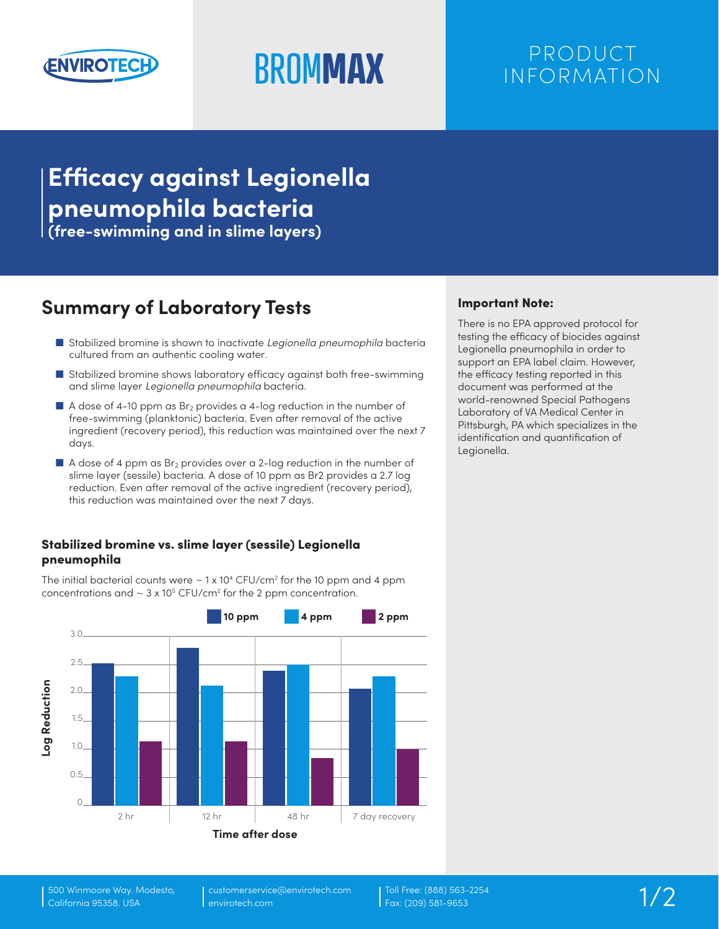

# **BROMMAX** PRODUCT INFORMATION

# **Efficacy against Legionella pneumophila bacteria (free-swimming and in slime layers)**

# **Summary of Laboratory Tests**

- Stabilized bromine is shown to inactivate Legionella pneumophila bacteria cultured from an authentic cooling water.
- Stabilized bromine shows laboratory efficacy against both free-swimming and slime layer *Legionella pneumophila* bacteria.
- $\blacksquare$  A dose of 4-10 ppm as Br<sub>2</sub> provides a 4-log reduction in the number of free-swimming (planktonic) bacteria. Even after removal of the active ingredient (recovery period), this reduction was maintained over the next 7 days.
- $\blacksquare$  A dose of 4 ppm as Br<sub>2</sub> provides over a 2-log reduction in the number of slime layer (sessile) bacteria. A dose of 10 ppm as Br2 provides a 2.7 log reduction. Even after removal of the active ingredient (recovery period), this reduction was maintained over the next 7 days.

# Stabilized bromine vs. slime layer (sessile) Legionella pneumophila

The initial bacterial counts were  $\sim 1 \times 10^4$  CFU/cm<sup>2</sup> for the 10 ppm and 4 ppm concentrations and  $\sim 3 \times 10^5$  CFU/cm<sup>2</sup> for the 2 ppm concentration.



# Important Note:

There is no EPA approved protocol for testing the efficacy of biocides against Legionella pneumophila in order to support an EPA label claim. However, the efficacy testing reported in this document was performed at the world-renowned Special Pathogens Laboratory of VA Medical Center in Pittsburgh, PA which specializes in the identification and quantification of Legionella.

customerservice@envirotech.com envirotech.com

Toll Free: (888) 563-2254<br>Fax: (209) 581-9653 1/2